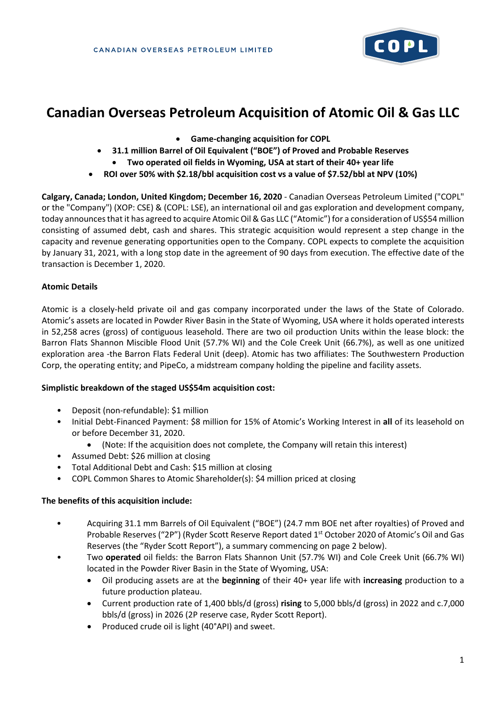

# **Canadian Overseas Petroleum Acquisition of Atomic Oil & Gas LLC**

- **Game-changing acquisition for COPL**
- **31.1 million Barrel of Oil Equivalent ("BOE") of Proved and Probable Reserves**
	- **Two operated oil fields in Wyoming, USA at start of their 40+ year life**
- **ROI over 50% with \$2.18/bbl acquisition cost vs a value of \$7.52/bbl at NPV (10%)**

**Calgary, Canada; London, United Kingdom; December 16, 2020** - Canadian Overseas Petroleum Limited ("COPL" or the "Company") (XOP: CSE) & (COPL: LSE), an international oil and gas exploration and development company, today announcesthat it has agreed to acquire Atomic Oil & Gas LLC ("Atomic") for a consideration of US\$54 million consisting of assumed debt, cash and shares. This strategic acquisition would represent a step change in the capacity and revenue generating opportunities open to the Company. COPL expects to complete the acquisition by January 31, 2021, with a long stop date in the agreement of 90 days from execution. The effective date of the transaction is December 1, 2020.

# **Atomic Details**

Atomic is a closely-held private oil and gas company incorporated under the laws of the State of Colorado. Atomic's assets are located in Powder River Basin in the State of Wyoming, USA where it holds operated interests in 52,258 acres (gross) of contiguous leasehold. There are two oil production Units within the lease block: the Barron Flats Shannon Miscible Flood Unit (57.7% WI) and the Cole Creek Unit (66.7%), as well as one unitized exploration area -the Barron Flats Federal Unit (deep). Atomic has two affiliates: The Southwestern Production Corp, the operating entity; and PipeCo, a midstream company holding the pipeline and facility assets.

## **Simplistic breakdown of the staged US\$54m acquisition cost:**

- Deposit (non-refundable): \$1 million
- Initial Debt-Financed Payment: \$8 million for 15% of Atomic's Working Interest in **all** of its leasehold on or before December 31, 2020.
	- (Note: If the acquisition does not complete, the Company will retain this interest)
- Assumed Debt: \$26 million at closing
- Total Additional Debt and Cash: \$15 million at closing
- COPL Common Shares to Atomic Shareholder(s): \$4 million priced at closing

## **The benefits of this acquisition include:**

- Acquiring 31.1 mm Barrels of Oil Equivalent ("BOE") (24.7 mm BOE net after royalties) of Proved and Probable Reserves ("2P") (Ryder Scott Reserve Report dated 1st October 2020 of Atomic's Oil and Gas Reserves (the "Ryder Scott Report"), a summary commencing on page 2 below).
- Two **operated** oil fields: the Barron Flats Shannon Unit (57.7% WI) and Cole Creek Unit (66.7% WI) located in the Powder River Basin in the State of Wyoming, USA:
	- Oil producing assets are at the **beginning** of their 40+ year life with **increasing** production to a future production plateau.
	- Current production rate of 1,400 bbls/d (gross) **rising** to 5,000 bbls/d (gross) in 2022 and c.7,000 bbls/d (gross) in 2026 (2P reserve case, Ryder Scott Report).
	- Produced crude oil is light (40°API) and sweet.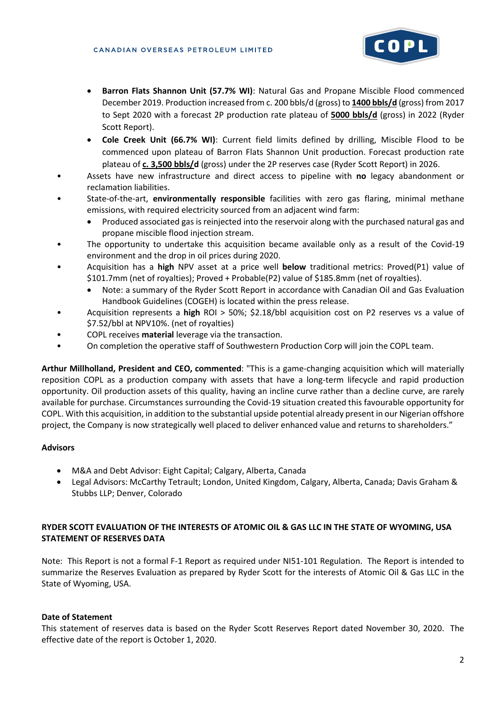

- **Barron Flats Shannon Unit (57.7% WI)**: Natural Gas and Propane Miscible Flood commenced December 2019. Production increased from c. 200 bbls/d (gross) to **1400 bbls/d** (gross) from 2017 to Sept 2020 with a forecast 2P production rate plateau of **5000 bbls/d** (gross) in 2022 (Ryder Scott Report).
- **Cole Creek Unit (66.7% WI)**: Current field limits defined by drilling, Miscible Flood to be commenced upon plateau of Barron Flats Shannon Unit production. Forecast production rate plateau of **c. 3,500 bbls/d** (gross) under the 2P reserves case (Ryder Scott Report) in 2026.
- Assets have new infrastructure and direct access to pipeline with **no** legacy abandonment or reclamation liabilities.
- State-of-the-art, **environmentally responsible** facilities with zero gas flaring, minimal methane emissions, with required electricity sourced from an adjacent wind farm:
	- Produced associated gas is reinjected into the reservoir along with the purchased natural gas and propane miscible flood injection stream.
- The opportunity to undertake this acquisition became available only as a result of the Covid-19 environment and the drop in oil prices during 2020.
- Acquisition has a **high** NPV asset at a price well **below** traditional metrics: Proved(P1) value of \$101.7mm (net of royalties); Proved + Probable(P2) value of \$185.8mm (net of royalties).
	- Note: a summary of the Ryder Scott Report in accordance with Canadian Oil and Gas Evaluation Handbook Guidelines (COGEH) is located within the press release.
- Acquisition represents a **high** ROI > 50%; \$2.18/bbl acquisition cost on P2 reserves vs a value of \$7.52/bbl at NPV10%. (net of royalties)
- COPL receives **material** leverage via the transaction.
- On completion the operative staff of Southwestern Production Corp will join the COPL team.

**Arthur Millholland, President and CEO, commented**: "This is a game-changing acquisition which will materially reposition COPL as a production company with assets that have a long-term lifecycle and rapid production opportunity. Oil production assets of this quality, having an incline curve rather than a decline curve, are rarely available for purchase. Circumstances surrounding the Covid-19 situation created this favourable opportunity for COPL. With this acquisition, in addition to the substantial upside potential already present in our Nigerian offshore project, the Company is now strategically well placed to deliver enhanced value and returns to shareholders."

## **Advisors**

- M&A and Debt Advisor: Eight Capital; Calgary, Alberta, Canada
- Legal Advisors: McCarthy Tetrault; London, United Kingdom, Calgary, Alberta, Canada; Davis Graham & Stubbs LLP; Denver, Colorado

# **RYDER SCOTT EVALUATION OF THE INTERESTS OF ATOMIC OIL & GAS LLC IN THE STATE OF WYOMING, USA STATEMENT OF RESERVES DATA**

Note: This Report is not a formal F-1 Report as required under NI51-101 Regulation. The Report is intended to summarize the Reserves Evaluation as prepared by Ryder Scott for the interests of Atomic Oil & Gas LLC in the State of Wyoming, USA.

## **Date of Statement**

This statement of reserves data is based on the Ryder Scott Reserves Report dated November 30, 2020. The effective date of the report is October 1, 2020.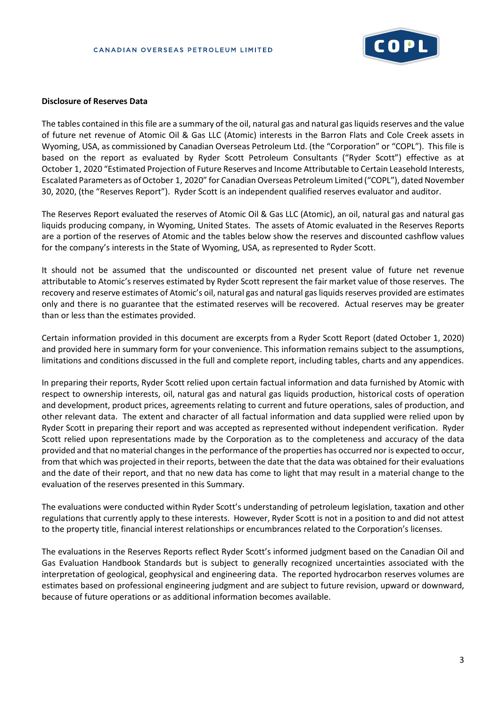

#### **Disclosure of Reserves Data**

The tables contained in this file are a summary of the oil, natural gas and natural gas liquids reserves and the value of future net revenue of Atomic Oil & Gas LLC (Atomic) interests in the Barron Flats and Cole Creek assets in Wyoming, USA, as commissioned by Canadian Overseas Petroleum Ltd. (the "Corporation" or "COPL"). This file is based on the report as evaluated by Ryder Scott Petroleum Consultants ("Ryder Scott") effective as at October 1, 2020 "Estimated Projection of Future Reserves and Income Attributable to Certain Leasehold Interests, Escalated Parameters as of October 1, 2020" for Canadian Overseas Petroleum Limited ("COPL"), dated November 30, 2020, (the "Reserves Report"). Ryder Scott is an independent qualified reserves evaluator and auditor.

The Reserves Report evaluated the reserves of Atomic Oil & Gas LLC (Atomic), an oil, natural gas and natural gas liquids producing company, in Wyoming, United States. The assets of Atomic evaluated in the Reserves Reports are a portion of the reserves of Atomic and the tables below show the reserves and discounted cashflow values for the company's interests in the State of Wyoming, USA, as represented to Ryder Scott.

It should not be assumed that the undiscounted or discounted net present value of future net revenue attributable to Atomic's reserves estimated by Ryder Scott represent the fair market value of those reserves. The recovery and reserve estimates of Atomic's oil, natural gas and natural gas liquids reserves provided are estimates only and there is no guarantee that the estimated reserves will be recovered. Actual reserves may be greater than or less than the estimates provided.

Certain information provided in this document are excerpts from a Ryder Scott Report (dated October 1, 2020) and provided here in summary form for your convenience. This information remains subject to the assumptions, limitations and conditions discussed in the full and complete report, including tables, charts and any appendices.

In preparing their reports, Ryder Scott relied upon certain factual information and data furnished by Atomic with respect to ownership interests, oil, natural gas and natural gas liquids production, historical costs of operation and development, product prices, agreements relating to current and future operations, sales of production, and other relevant data. The extent and character of all factual information and data supplied were relied upon by Ryder Scott in preparing their report and was accepted as represented without independent verification. Ryder Scott relied upon representations made by the Corporation as to the completeness and accuracy of the data provided and that no material changes in the performance of the properties has occurred nor is expected to occur, from that which was projected in their reports, between the date that the data was obtained for their evaluations and the date of their report, and that no new data has come to light that may result in a material change to the evaluation of the reserves presented in this Summary.

The evaluations were conducted within Ryder Scott's understanding of petroleum legislation, taxation and other regulations that currently apply to these interests. However, Ryder Scott is not in a position to and did not attest to the property title, financial interest relationships or encumbrances related to the Corporation's licenses.

The evaluations in the Reserves Reports reflect Ryder Scott's informed judgment based on the Canadian Oil and Gas Evaluation Handbook Standards but is subject to generally recognized uncertainties associated with the interpretation of geological, geophysical and engineering data. The reported hydrocarbon reserves volumes are estimates based on professional engineering judgment and are subject to future revision, upward or downward, because of future operations or as additional information becomes available.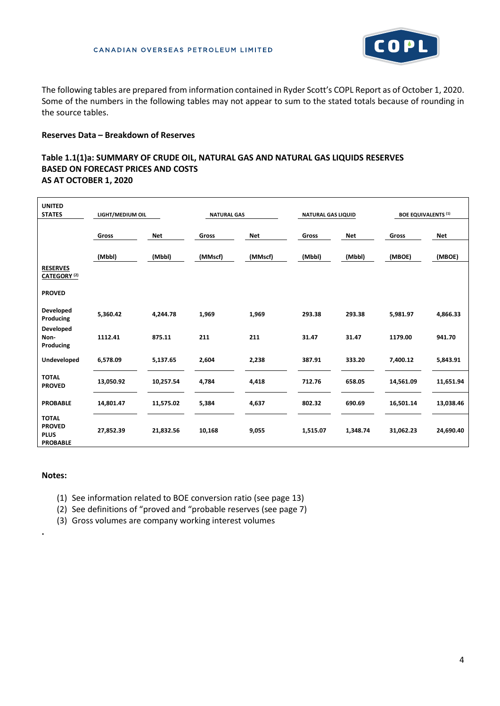

The following tables are prepared from information contained in Ryder Scott's COPL Report as of October 1, 2020. Some of the numbers in the following tables may not appear to sum to the stated totals because of rounding in the source tables.

#### **Reserves Data – Breakdown of Reserves**

## **Table 1.1(1)a: SUMMARY OF CRUDE OIL, NATURAL GAS AND NATURAL GAS LIQUIDS RESERVES BASED ON FORECAST PRICES AND COSTS AS AT OCTOBER 1, 2020**

| <b>UNITED</b><br><b>STATES</b>                                  | LIGHT/MEDIUM OIL |            | <b>NATURAL GAS</b> |            | <b>NATURAL GAS LIQUID</b> |            | <b>BOE EQUIVALENTS (1)</b> |            |
|-----------------------------------------------------------------|------------------|------------|--------------------|------------|---------------------------|------------|----------------------------|------------|
|                                                                 | Gross            | <b>Net</b> | Gross              | <b>Net</b> | Gross                     | <b>Net</b> | Gross                      | <b>Net</b> |
|                                                                 | (Mbbl)           | (Mbbl)     | (MMscf)            | (MMscf)    | (Mbbl)                    | (Mbbl)     | (MBOE)                     | (MBOE)     |
| <b>RESERVES</b><br>CATEGORY <sup>(2)</sup>                      |                  |            |                    |            |                           |            |                            |            |
| <b>PROVED</b>                                                   |                  |            |                    |            |                           |            |                            |            |
| Developed<br>Producing                                          | 5,360.42         | 4,244.78   | 1,969              | 1,969      | 293.38                    | 293.38     | 5,981.97                   | 4,866.33   |
| Developed<br>Non-<br>Producing                                  | 1112.41          | 875.11     | 211                | 211        | 31.47                     | 31.47      | 1179.00                    | 941.70     |
| Undeveloped                                                     | 6,578.09         | 5,137.65   | 2,604              | 2,238      | 387.91                    | 333.20     | 7,400.12                   | 5,843.91   |
| <b>TOTAL</b><br><b>PROVED</b>                                   | 13,050.92        | 10,257.54  | 4,784              | 4,418      | 712.76                    | 658.05     | 14,561.09                  | 11,651.94  |
| <b>PROBABLE</b>                                                 | 14,801.47        | 11,575.02  | 5,384              | 4,637      | 802.32                    | 690.69     | 16,501.14                  | 13,038.46  |
| <b>TOTAL</b><br><b>PROVED</b><br><b>PLUS</b><br><b>PROBABLE</b> | 27,852.39        | 21,832.56  | 10,168             | 9,055      | 1,515.07                  | 1,348.74   | 31,062.23                  | 24,690.40  |

#### **Notes:**

**.**

- (1) See information related to BOE conversion ratio (see page 13)
- (2) See definitions of "proved and "probable reserves (see page 7)
- (3) Gross volumes are company working interest volumes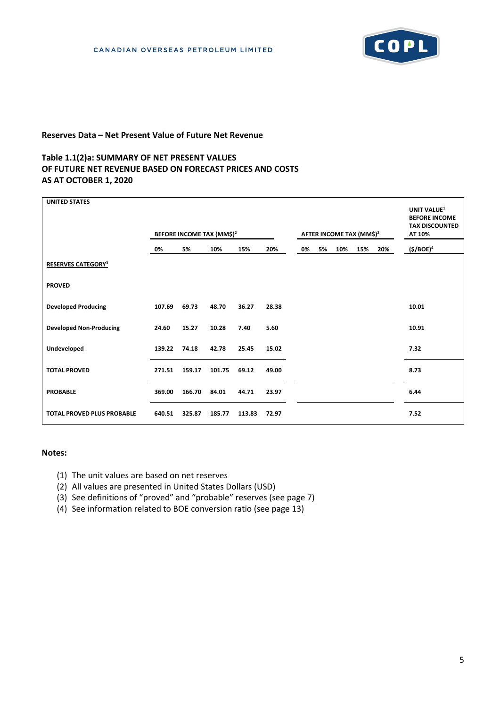

## **Reserves Data – Net Present Value of Future Net Revenue**

## **Table 1.1(2)a: SUMMARY OF NET PRESENT VALUES OF FUTURE NET REVENUE BASED ON FORECAST PRICES AND COSTS AS AT OCTOBER 1, 2020**

| <b>UNITED STATES</b>              |        |                                       |        |        |       |    |    |                                      |     |     | UNIT VALUE <sup>1</sup><br><b>BEFORE INCOME</b><br><b>TAX DISCOUNTED</b> |
|-----------------------------------|--------|---------------------------------------|--------|--------|-------|----|----|--------------------------------------|-----|-----|--------------------------------------------------------------------------|
|                                   |        | BEFORE INCOME TAX (MM\$) <sup>2</sup> |        |        |       |    |    | AFTER INCOME TAX (MM\$) <sup>2</sup> |     |     | AT 10%                                                                   |
|                                   | 0%     | 5%                                    | 10%    | 15%    | 20%   | 0% | 5% | 10%                                  | 15% | 20% | (\$/BOE) <sup>4</sup>                                                    |
| <b>RESERVES CATEGORY3</b>         |        |                                       |        |        |       |    |    |                                      |     |     |                                                                          |
| <b>PROVED</b>                     |        |                                       |        |        |       |    |    |                                      |     |     |                                                                          |
| <b>Developed Producing</b>        | 107.69 | 69.73                                 | 48.70  | 36.27  | 28.38 |    |    |                                      |     |     | 10.01                                                                    |
| <b>Developed Non-Producing</b>    | 24.60  | 15.27                                 | 10.28  | 7.40   | 5.60  |    |    |                                      |     |     | 10.91                                                                    |
| Undeveloped                       | 139.22 | 74.18                                 | 42.78  | 25.45  | 15.02 |    |    |                                      |     |     | 7.32                                                                     |
| <b>TOTAL PROVED</b>               | 271.51 | 159.17                                | 101.75 | 69.12  | 49.00 |    |    |                                      |     |     | 8.73                                                                     |
| <b>PROBABLE</b>                   | 369.00 | 166.70                                | 84.01  | 44.71  | 23.97 |    |    |                                      |     |     | 6.44                                                                     |
| <b>TOTAL PROVED PLUS PROBABLE</b> | 640.51 | 325.87                                | 185.77 | 113.83 | 72.97 |    |    |                                      |     |     | 7.52                                                                     |

#### **Notes:**

- (1) The unit values are based on net reserves
- (2) All values are presented in United States Dollars (USD)
- (3) See definitions of "proved" and "probable" reserves (see page 7)
- (4) See information related to BOE conversion ratio (see page 13)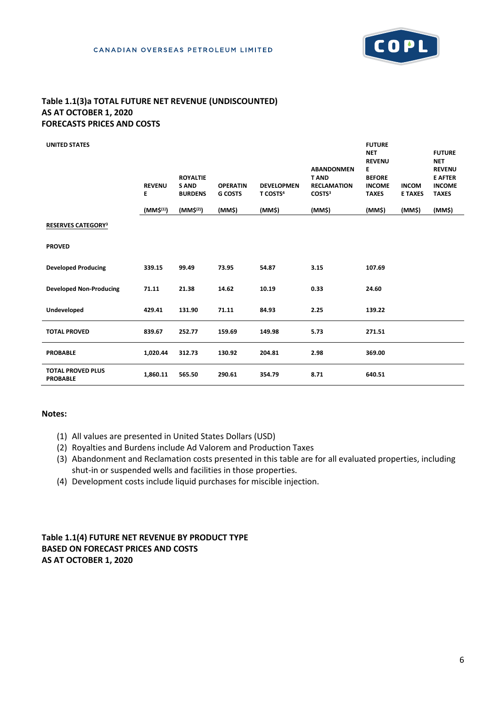

# **Table 1.1(3)a TOTAL FUTURE NET REVENUE (UNDISCOUNTED) AS AT OCTOBER 1, 2020 FORECASTS PRICES AND COSTS**

| <b>UNITED STATES</b>                        | <b>REVENU</b><br>E<br>(MM\$ <sup>(1)</sup> ) | <b>ROYALTIE</b><br><b>SAND</b><br><b>BURDENS</b><br>(MM\$ <sup>(2)</sup> ) | <b>OPERATIN</b><br><b>G COSTS</b><br>(MM\$) | <b>DEVELOPMEN</b><br>T COSTS <sup>4</sup><br>(MM\$) | <b>ABANDONMEN</b><br><b>TAND</b><br><b>RECLAMATION</b><br>COSTS <sup>3</sup><br>(MM\$) | <b>FUTURE</b><br><b>NET</b><br><b>REVENU</b><br>E.<br><b>BEFORE</b><br><b>INCOME</b><br><b>TAXES</b><br>(MM\$) | <b>INCOM</b><br><b>E TAXES</b><br>(MM\$) | <b>FUTURE</b><br><b>NET</b><br><b>REVENU</b><br><b>E AFTER</b><br><b>INCOME</b><br><b>TAXES</b><br>(MM\$) |
|---------------------------------------------|----------------------------------------------|----------------------------------------------------------------------------|---------------------------------------------|-----------------------------------------------------|----------------------------------------------------------------------------------------|----------------------------------------------------------------------------------------------------------------|------------------------------------------|-----------------------------------------------------------------------------------------------------------|
| <b>RESERVES CATEGORY3</b>                   |                                              |                                                                            |                                             |                                                     |                                                                                        |                                                                                                                |                                          |                                                                                                           |
| <b>PROVED</b>                               |                                              |                                                                            |                                             |                                                     |                                                                                        |                                                                                                                |                                          |                                                                                                           |
| <b>Developed Producing</b>                  | 339.15                                       | 99.49                                                                      | 73.95                                       | 54.87                                               | 3.15                                                                                   | 107.69                                                                                                         |                                          |                                                                                                           |
| <b>Developed Non-Producing</b>              | 71.11                                        | 21.38                                                                      | 14.62                                       | 10.19                                               | 0.33                                                                                   | 24.60                                                                                                          |                                          |                                                                                                           |
| Undeveloped                                 | 429.41                                       | 131.90                                                                     | 71.11                                       | 84.93                                               | 2.25                                                                                   | 139.22                                                                                                         |                                          |                                                                                                           |
| <b>TOTAL PROVED</b>                         | 839.67                                       | 252.77                                                                     | 159.69                                      | 149.98                                              | 5.73                                                                                   | 271.51                                                                                                         |                                          |                                                                                                           |
| <b>PROBABLE</b>                             | 1,020.44                                     | 312.73                                                                     | 130.92                                      | 204.81                                              | 2.98                                                                                   | 369.00                                                                                                         |                                          |                                                                                                           |
| <b>TOTAL PROVED PLUS</b><br><b>PROBABLE</b> | 1,860.11                                     | 565.50                                                                     | 290.61                                      | 354.79                                              | 8.71                                                                                   | 640.51                                                                                                         |                                          |                                                                                                           |

#### **Notes:**

- (1) All values are presented in United States Dollars (USD)
- (2) Royalties and Burdens include Ad Valorem and Production Taxes
- (3) Abandonment and Reclamation costs presented in this table are for all evaluated properties, including shut-in or suspended wells and facilities in those properties.
- (4) Development costs include liquid purchases for miscible injection.

# **Table 1.1(4) FUTURE NET REVENUE BY PRODUCT TYPE BASED ON FORECAST PRICES AND COSTS AS AT OCTOBER 1, 2020**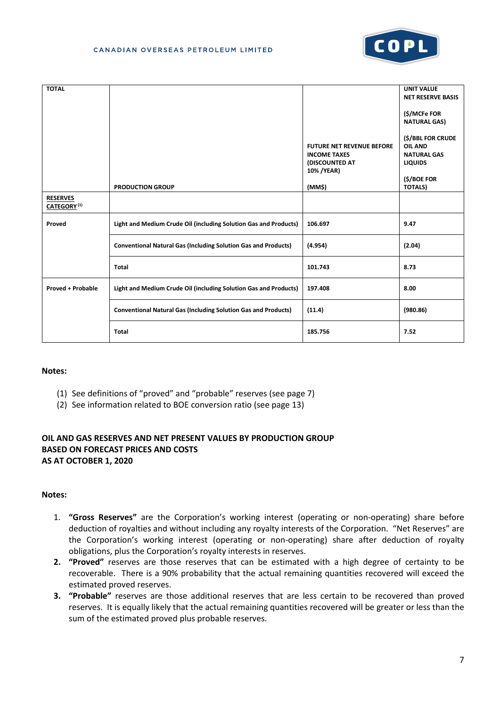

| <b>TOTAL</b>                               |                                                                       |                                                                                          | <b>UNIT VALUE</b><br><b>NET RESERVE BASIS</b>                                              |
|--------------------------------------------|-----------------------------------------------------------------------|------------------------------------------------------------------------------------------|--------------------------------------------------------------------------------------------|
|                                            |                                                                       |                                                                                          | (\$/MCFe FOR<br><b>NATURAL GAS)</b>                                                        |
|                                            |                                                                       | <b>FUTURE NET REVENUE BEFORE</b><br><b>INCOME TAXES</b><br>(DISCOUNTED AT<br>10% / YEAR) | (\$/BBL FOR CRUDE<br><b>OIL AND</b><br><b>NATURAL GAS</b><br><b>LIQUIDS</b><br>(\$/BOE FOR |
| <b>RESERVES</b><br>CATEGORY <sup>(1)</sup> | <b>PRODUCTION GROUP</b>                                               | (MM\$)                                                                                   | <b>TOTALS)</b>                                                                             |
| Proved                                     | Light and Medium Crude Oil (including Solution Gas and Products)      | 106.697                                                                                  | 9.47                                                                                       |
|                                            | <b>Conventional Natural Gas (Including Solution Gas and Products)</b> | (4.954)                                                                                  | (2.04)                                                                                     |
|                                            | <b>Total</b>                                                          | 101.743                                                                                  | 8.73                                                                                       |
| <b>Proved + Probable</b>                   | Light and Medium Crude Oil (including Solution Gas and Products)      | 197.408                                                                                  | 8.00                                                                                       |
|                                            | <b>Conventional Natural Gas (Including Solution Gas and Products)</b> | (11.4)                                                                                   | (980.86)                                                                                   |
|                                            | <b>Total</b>                                                          | 185.756                                                                                  | 7.52                                                                                       |

## **Notes:**

- (1) See definitions of "proved" and "probable" reserves (see page 7)
- (2) See information related to BOE conversion ratio (see page 13)

# **OIL AND GAS RESERVES AND NET PRESENT VALUES BY PRODUCTION GROUP BASED ON FORECAST PRICES AND COSTS AS AT OCTOBER 1, 2020**

#### **Notes:**

- 1. **"Gross Reserves"** are the Corporation's working interest (operating or non-operating) share before deduction of royalties and without including any royalty interests of the Corporation. "Net Reserves" are the Corporation's working interest (operating or non-operating) share after deduction of royalty obligations, plus the Corporation's royalty interests in reserves.
- **2. "Proved"** reserves are those reserves that can be estimated with a high degree of certainty to be recoverable. There is a 90% probability that the actual remaining quantities recovered will exceed the estimated proved reserves.
- **3. "Probable"** reserves are those additional reserves that are less certain to be recovered than proved reserves. It is equally likely that the actual remaining quantities recovered will be greater or less than the sum of the estimated proved plus probable reserves.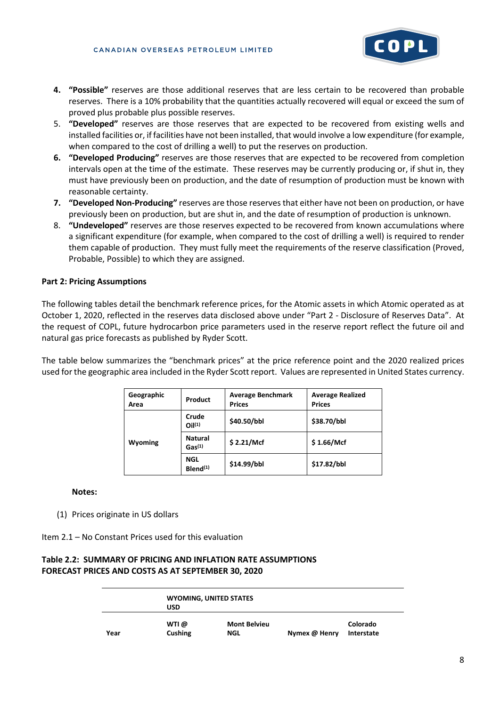

- **4. "Possible"** reserves are those additional reserves that are less certain to be recovered than probable reserves. There is a 10% probability that the quantities actually recovered will equal or exceed the sum of proved plus probable plus possible reserves.
- 5. **"Developed"** reserves are those reserves that are expected to be recovered from existing wells and installed facilities or, if facilities have not been installed, that would involve a low expenditure (for example, when compared to the cost of drilling a well) to put the reserves on production.
- **6. "Developed Producing"** reserves are those reserves that are expected to be recovered from completion intervals open at the time of the estimate. These reserves may be currently producing or, if shut in, they must have previously been on production, and the date of resumption of production must be known with reasonable certainty.
- **7. "Developed Non-Producing"** reserves are those reserves that either have not been on production, or have previously been on production, but are shut in, and the date of resumption of production is unknown.
- 8. **"Undeveloped"** reserves are those reserves expected to be recovered from known accumulations where a significant expenditure (for example, when compared to the cost of drilling a well) is required to render them capable of production. They must fully meet the requirements of the reserve classification (Proved, Probable, Possible) to which they are assigned.

## **Part 2: Pricing Assumptions**

The following tables detail the benchmark reference prices, for the Atomic assets in which Atomic operated as at October 1, 2020, reflected in the reserves data disclosed above under "Part 2 - Disclosure of Reserves Data". At the request of COPL, future hydrocarbon price parameters used in the reserve report reflect the future oil and natural gas price forecasts as published by Ryder Scott.

The table below summarizes the "benchmark prices" at the price reference point and the 2020 realized prices used for the geographic area included in the Ryder Scott report. Values are represented in United States currency.

| Geographic<br>Area | Product                              | <b>Average Benchmark</b><br><b>Prices</b> | <b>Average Realized</b><br><b>Prices</b> |
|--------------------|--------------------------------------|-------------------------------------------|------------------------------------------|
|                    | Crude<br>O <sub>1</sub> (1)          | \$40.50/bbl                               | \$38.70/bbl                              |
| <b>Wyoming</b>     | <b>Natural</b><br>Gas <sup>(1)</sup> | \$2.21/Mcf                                | \$1.66/Mcf                               |
|                    | <b>NGL</b><br>$B$ lend $(1)$         | \$14.99/bbl                               | \$17.82/bbl                              |

**Notes:**

(1) Prices originate in US dollars

Item 2.1 – No Constant Prices used for this evaluation

## **Table 2.2: SUMMARY OF PRICING AND INFLATION RATE ASSUMPTIONS FORECAST PRICES AND COSTS AS AT SEPTEMBER 30, 2020**

|      |         | <b>WYOMING, UNITED STATES</b> |               |            |
|------|---------|-------------------------------|---------------|------------|
|      | USD     |                               |               |            |
|      | WTI @   | <b>Mont Belvieu</b>           |               | Colorado   |
| Year | Cushing | <b>NGL</b>                    | Nymex @ Henry | Interstate |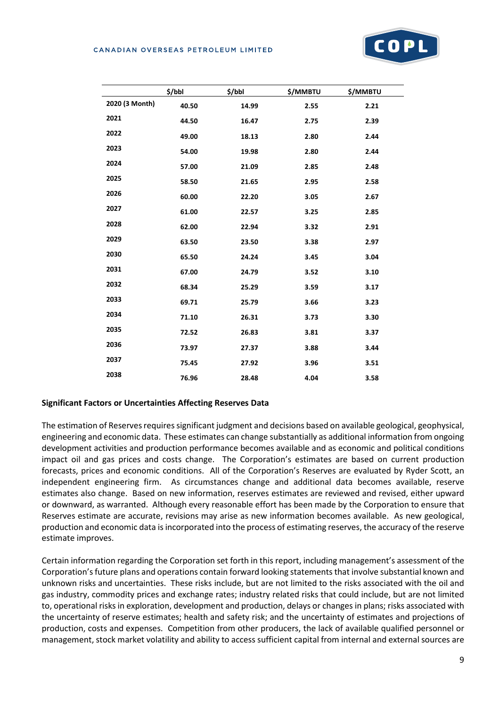#### CANADIAN OVERSEAS PETROLEUM LIMITED



| 2020 (3 Month)<br>40.50<br>2.21<br>14.99<br>2.55<br>2021<br>44.50<br>16.47<br>2.75<br>2.39<br>2022<br>49.00<br>2.80<br>2.44<br>18.13<br>2023<br>54.00<br>19.98<br>2.80<br>2.44<br>2024<br>57.00<br>21.09<br>2.85<br>2.48<br>2025<br>58.50<br>21.65<br>2.95<br>2.58<br>2026<br>60.00<br>3.05<br>2.67<br>22.20<br>2027<br>61.00<br>3.25<br>2.85<br>22.57<br>2028<br>62.00<br>2.91<br>22.94<br>3.32<br>2029<br>3.38<br>2.97<br>63.50<br>23.50<br>2030<br>65.50<br>24.24<br>3.45<br>3.04<br>2031<br>67.00<br>24.79<br>3.52<br>3.10<br>2032<br>68.34<br>25.29<br>3.59<br>3.17<br>2033<br>69.71<br>3.66<br>3.23<br>25.79<br>2034<br>3.30<br>71.10<br>26.31<br>3.73<br>2035<br>26.83<br>3.81<br>3.37<br>72.52 | \$/bbl | \$/bbl | \$/MMBTU | \$/MMBTU |
|--------------------------------------------------------------------------------------------------------------------------------------------------------------------------------------------------------------------------------------------------------------------------------------------------------------------------------------------------------------------------------------------------------------------------------------------------------------------------------------------------------------------------------------------------------------------------------------------------------------------------------------------------------------------------------------------------------|--------|--------|----------|----------|
|                                                                                                                                                                                                                                                                                                                                                                                                                                                                                                                                                                                                                                                                                                        |        |        |          |          |
|                                                                                                                                                                                                                                                                                                                                                                                                                                                                                                                                                                                                                                                                                                        |        |        |          |          |
|                                                                                                                                                                                                                                                                                                                                                                                                                                                                                                                                                                                                                                                                                                        |        |        |          |          |
|                                                                                                                                                                                                                                                                                                                                                                                                                                                                                                                                                                                                                                                                                                        |        |        |          |          |
|                                                                                                                                                                                                                                                                                                                                                                                                                                                                                                                                                                                                                                                                                                        |        |        |          |          |
|                                                                                                                                                                                                                                                                                                                                                                                                                                                                                                                                                                                                                                                                                                        |        |        |          |          |
|                                                                                                                                                                                                                                                                                                                                                                                                                                                                                                                                                                                                                                                                                                        |        |        |          |          |
|                                                                                                                                                                                                                                                                                                                                                                                                                                                                                                                                                                                                                                                                                                        |        |        |          |          |
|                                                                                                                                                                                                                                                                                                                                                                                                                                                                                                                                                                                                                                                                                                        |        |        |          |          |
|                                                                                                                                                                                                                                                                                                                                                                                                                                                                                                                                                                                                                                                                                                        |        |        |          |          |
|                                                                                                                                                                                                                                                                                                                                                                                                                                                                                                                                                                                                                                                                                                        |        |        |          |          |
|                                                                                                                                                                                                                                                                                                                                                                                                                                                                                                                                                                                                                                                                                                        |        |        |          |          |
|                                                                                                                                                                                                                                                                                                                                                                                                                                                                                                                                                                                                                                                                                                        |        |        |          |          |
|                                                                                                                                                                                                                                                                                                                                                                                                                                                                                                                                                                                                                                                                                                        |        |        |          |          |
|                                                                                                                                                                                                                                                                                                                                                                                                                                                                                                                                                                                                                                                                                                        |        |        |          |          |
|                                                                                                                                                                                                                                                                                                                                                                                                                                                                                                                                                                                                                                                                                                        |        |        |          |          |
| 2036<br>3.88<br>3.44<br>73.97<br>27.37                                                                                                                                                                                                                                                                                                                                                                                                                                                                                                                                                                                                                                                                 |        |        |          |          |
| 2037<br>75.45<br>27.92<br>3.96<br>3.51                                                                                                                                                                                                                                                                                                                                                                                                                                                                                                                                                                                                                                                                 |        |        |          |          |
| 2038<br>76.96<br>28.48<br>4.04<br>3.58                                                                                                                                                                                                                                                                                                                                                                                                                                                                                                                                                                                                                                                                 |        |        |          |          |

## **Significant Factors or Uncertainties Affecting Reserves Data**

The estimation of Reserves requires significant judgment and decisions based on available geological, geophysical, engineering and economic data. These estimates can change substantially as additional information from ongoing development activities and production performance becomes available and as economic and political conditions impact oil and gas prices and costs change. The Corporation's estimates are based on current production forecasts, prices and economic conditions. All of the Corporation's Reserves are evaluated by Ryder Scott, an independent engineering firm. As circumstances change and additional data becomes available, reserve estimates also change. Based on new information, reserves estimates are reviewed and revised, either upward or downward, as warranted. Although every reasonable effort has been made by the Corporation to ensure that Reserves estimate are accurate, revisions may arise as new information becomes available. As new geological, production and economic data is incorporated into the process of estimating reserves, the accuracy of the reserve estimate improves.

Certain information regarding the Corporation set forth in this report, including management's assessment of the Corporation's future plans and operations contain forward looking statements that involve substantial known and unknown risks and uncertainties. These risks include, but are not limited to the risks associated with the oil and gas industry, commodity prices and exchange rates; industry related risks that could include, but are not limited to, operational risks in exploration, development and production, delays or changes in plans; risks associated with the uncertainty of reserve estimates; health and safety risk; and the uncertainty of estimates and projections of production, costs and expenses. Competition from other producers, the lack of available qualified personnel or management, stock market volatility and ability to access sufficient capital from internal and external sources are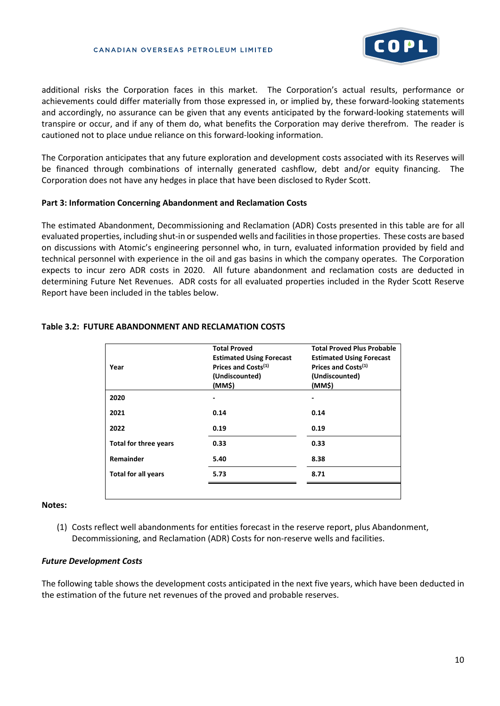

additional risks the Corporation faces in this market. The Corporation's actual results, performance or achievements could differ materially from those expressed in, or implied by, these forward-looking statements and accordingly, no assurance can be given that any events anticipated by the forward-looking statements will transpire or occur, and if any of them do, what benefits the Corporation may derive therefrom. The reader is cautioned not to place undue reliance on this forward-looking information.

The Corporation anticipates that any future exploration and development costs associated with its Reserves will be financed through combinations of internally generated cashflow, debt and/or equity financing. The Corporation does not have any hedges in place that have been disclosed to Ryder Scott.

#### **Part 3: Information Concerning Abandonment and Reclamation Costs**

The estimated Abandonment, Decommissioning and Reclamation (ADR) Costs presented in this table are for all evaluated properties, including shut-in or suspended wells and facilities in those properties. These costs are based on discussions with Atomic's engineering personnel who, in turn, evaluated information provided by field and technical personnel with experience in the oil and gas basins in which the company operates. The Corporation expects to incur zero ADR costs in 2020. All future abandonment and reclamation costs are deducted in determining Future Net Revenues. ADR costs for all evaluated properties included in the Ryder Scott Reserve Report have been included in the tables below.

| Year                         | <b>Total Proved</b><br><b>Estimated Using Forecast</b><br>Prices and Costs <sup>(1)</sup><br>(Undiscounted)<br>(MM\$) | <b>Total Proved Plus Probable</b><br><b>Estimated Using Forecast</b><br>Prices and Costs <sup>(1)</sup><br>(Undiscounted)<br>(MM\$) |
|------------------------------|-----------------------------------------------------------------------------------------------------------------------|-------------------------------------------------------------------------------------------------------------------------------------|
| 2020                         |                                                                                                                       |                                                                                                                                     |
| 2021                         | 0.14                                                                                                                  | 0.14                                                                                                                                |
| 2022                         | 0.19                                                                                                                  | 0.19                                                                                                                                |
| <b>Total for three years</b> | 0.33                                                                                                                  | 0.33                                                                                                                                |
| Remainder                    | 5.40                                                                                                                  | 8.38                                                                                                                                |
| <b>Total for all years</b>   | 5.73                                                                                                                  | 8.71                                                                                                                                |
|                              |                                                                                                                       |                                                                                                                                     |

## **Table 3.2: FUTURE ABANDONMENT AND RECLAMATION COSTS**

#### **Notes:**

(1) Costs reflect well abandonments for entities forecast in the reserve report, plus Abandonment, Decommissioning, and Reclamation (ADR) Costs for non-reserve wells and facilities.

#### *Future Development Costs*

The following table shows the development costs anticipated in the next five years, which have been deducted in the estimation of the future net revenues of the proved and probable reserves.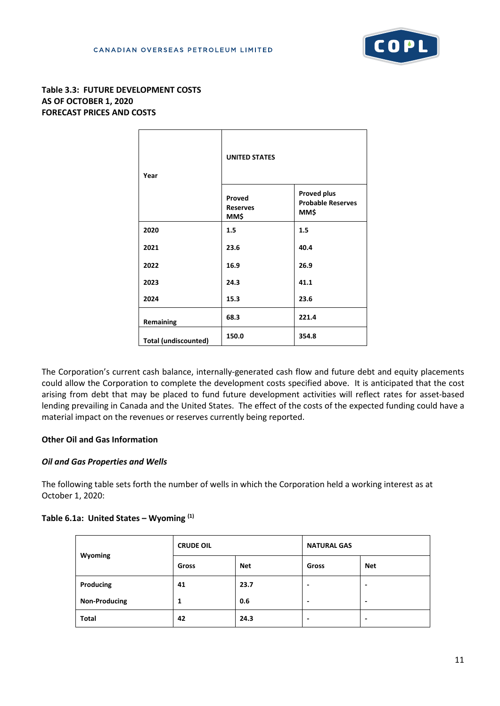

# **Table 3.3: FUTURE DEVELOPMENT COSTS AS OF OCTOBER 1, 2020 FORECAST PRICES AND COSTS**

| Year                        | <b>UNITED STATES</b>              |                                                        |
|-----------------------------|-----------------------------------|--------------------------------------------------------|
|                             | Proved<br><b>Reserves</b><br>MM\$ | <b>Proved plus</b><br><b>Probable Reserves</b><br>MM\$ |
| 2020                        | 1.5                               | 1.5                                                    |
| 2021                        | 23.6                              | 40.4                                                   |
| 2022                        | 16.9                              | 26.9                                                   |
| 2023                        | 24.3                              | 41.1                                                   |
| 2024                        | 15.3                              | 23.6                                                   |
| Remaining                   | 68.3                              | 221.4                                                  |
| <b>Total (undiscounted)</b> | 150.0                             | 354.8                                                  |

The Corporation's current cash balance, internally-generated cash flow and future debt and equity placements could allow the Corporation to complete the development costs specified above. It is anticipated that the cost arising from debt that may be placed to fund future development activities will reflect rates for asset-based lending prevailing in Canada and the United States. The effect of the costs of the expected funding could have a material impact on the revenues or reserves currently being reported.

# **Other Oil and Gas Information**

## *Oil and Gas Properties and Wells*

The following table sets forth the number of wells in which the Corporation held a working interest as at October 1, 2020:

## **Table 6.1a: United States – Wyoming (1)**

| Wyoming              | <b>CRUDE OIL</b> |            | <b>NATURAL GAS</b>       |            |  |
|----------------------|------------------|------------|--------------------------|------------|--|
|                      | Gross            | <b>Net</b> | Gross                    | <b>Net</b> |  |
| Producing            | 41               | 23.7       | $\overline{\phantom{0}}$ | -          |  |
| <b>Non-Producing</b> | 1                | 0.6        | -                        | -          |  |
| <b>Total</b>         | 42               | 24.3       | $\overline{\phantom{0}}$ | -          |  |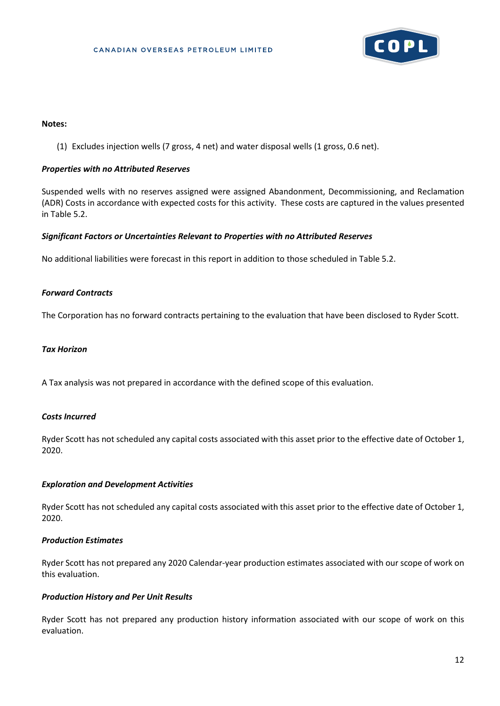

#### **Notes:**

(1) Excludes injection wells (7 gross, 4 net) and water disposal wells (1 gross, 0.6 net).

#### *Properties with no Attributed Reserves*

Suspended wells with no reserves assigned were assigned Abandonment, Decommissioning, and Reclamation (ADR) Costs in accordance with expected costs for this activity. These costs are captured in the values presented in Table 5.2.

#### *Significant Factors or Uncertainties Relevant to Properties with no Attributed Reserves*

No additional liabilities were forecast in this report in addition to those scheduled in Table 5.2.

#### *Forward Contracts*

The Corporation has no forward contracts pertaining to the evaluation that have been disclosed to Ryder Scott.

#### *Tax Horizon*

A Tax analysis was not prepared in accordance with the defined scope of this evaluation.

#### *Costs Incurred*

Ryder Scott has not scheduled any capital costs associated with this asset prior to the effective date of October 1, 2020.

#### *Exploration and Development Activities*

Ryder Scott has not scheduled any capital costs associated with this asset prior to the effective date of October 1, 2020.

## *Production Estimates*

Ryder Scott has not prepared any 2020 Calendar-year production estimates associated with our scope of work on this evaluation.

## *Production History and Per Unit Results*

Ryder Scott has not prepared any production history information associated with our scope of work on this evaluation.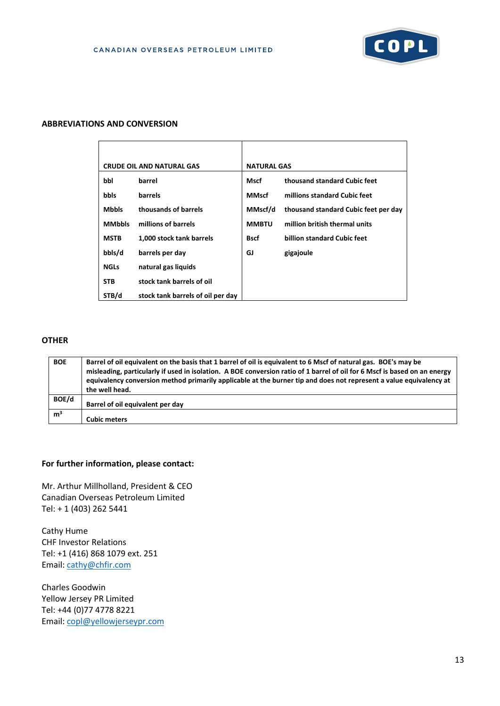

#### **ABBREVIATIONS AND CONVERSION**

|               | <b>CRUDE OIL AND NATURAL GAS</b>  | <b>NATURAL GAS</b> |                                      |
|---------------|-----------------------------------|--------------------|--------------------------------------|
| bbl           | barrel                            | Mscf               | thousand standard Cubic feet         |
| <b>bbls</b>   | barrels                           | <b>MMscf</b>       | millions standard Cubic feet         |
| <b>Mbbls</b>  | thousands of barrels              | MMscf/d            | thousand standard Cubic feet per day |
| <b>MMbbls</b> | millions of barrels               | <b>MMBTU</b>       | million british thermal units        |
| <b>MSTB</b>   | 1,000 stock tank barrels          | <b>Bscf</b>        | billion standard Cubic feet          |
| bbls/d        | barrels per day                   | GJ                 | gigajoule                            |
| <b>NGLs</b>   | natural gas liquids               |                    |                                      |
| <b>STB</b>    | stock tank barrels of oil         |                    |                                      |
| STB/d         | stock tank barrels of oil per day |                    |                                      |

# **OTHER**

| <b>BOE</b>     | Barrel of oil equivalent on the basis that 1 barrel of oil is equivalent to 6 Mscf of natural gas. BOE's may be<br>misleading, particularly if used in isolation. A BOE conversion ratio of 1 barrel of oil for 6 Mscf is based on an energy<br>equivalency conversion method primarily applicable at the burner tip and does not represent a value equivalency at<br>the well head. |
|----------------|--------------------------------------------------------------------------------------------------------------------------------------------------------------------------------------------------------------------------------------------------------------------------------------------------------------------------------------------------------------------------------------|
| BOE/d          | Barrel of oil equivalent per day                                                                                                                                                                                                                                                                                                                                                     |
| m <sup>3</sup> | <b>Cubic meters</b>                                                                                                                                                                                                                                                                                                                                                                  |

#### **For further information, please contact:**

Mr. Arthur Millholland, President & CEO Canadian Overseas Petroleum Limited Tel: + 1 (403) 262 5441

Cathy Hume CHF Investor Relations Tel: +1 (416) 868 1079 ext. 251 Email[: cathy@chfir.com](mailto:cathy@chfir.com)

Charles Goodwin Yellow Jersey PR Limited Tel: +44 (0)77 4778 8221 Email[: copl@yellowjerseypr.com](mailto:copl@yellowjerseypr.com)